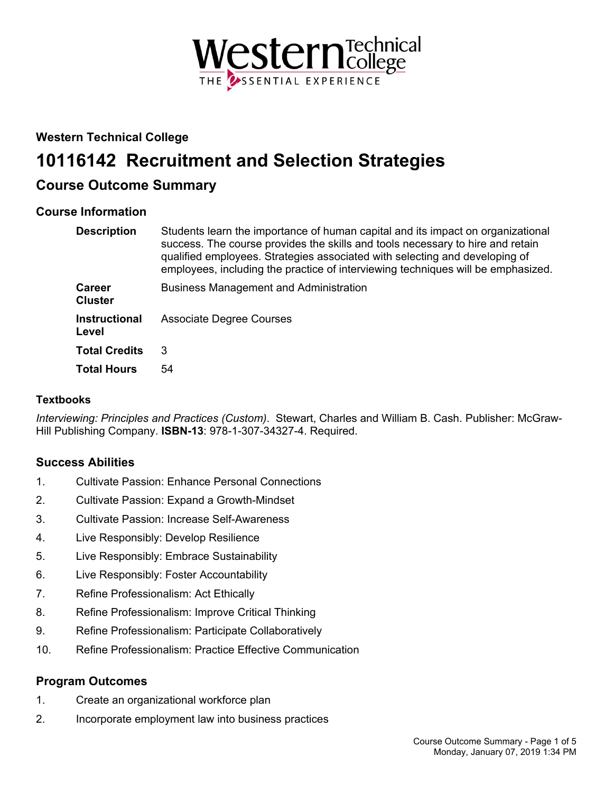

## **Western Technical College**

# **10116142 Recruitment and Selection Strategies**

## **Course Outcome Summary**

## **Course Information**

| <b>Description</b>              | Students learn the importance of human capital and its impact on organizational<br>success. The course provides the skills and tools necessary to hire and retain<br>qualified employees. Strategies associated with selecting and developing of<br>employees, including the practice of interviewing techniques will be emphasized. |
|---------------------------------|--------------------------------------------------------------------------------------------------------------------------------------------------------------------------------------------------------------------------------------------------------------------------------------------------------------------------------------|
| <b>Career</b><br><b>Cluster</b> | <b>Business Management and Administration</b>                                                                                                                                                                                                                                                                                        |
| <b>Instructional</b><br>Level   | <b>Associate Degree Courses</b>                                                                                                                                                                                                                                                                                                      |
| <b>Total Credits</b>            | 3                                                                                                                                                                                                                                                                                                                                    |
| <b>Total Hours</b>              | 54                                                                                                                                                                                                                                                                                                                                   |

## **Textbooks**

*Interviewing: Principles and Practices (Custom)*. Stewart, Charles and William B. Cash. Publisher: McGraw-Hill Publishing Company. **ISBN-13**: 978-1-307-34327-4. Required.

## **Success Abilities**

- 1. Cultivate Passion: Enhance Personal Connections
- 2. Cultivate Passion: Expand a Growth-Mindset
- 3. Cultivate Passion: Increase Self-Awareness
- 4. Live Responsibly: Develop Resilience
- 5. Live Responsibly: Embrace Sustainability
- 6. Live Responsibly: Foster Accountability
- 7. Refine Professionalism: Act Ethically
- 8. Refine Professionalism: Improve Critical Thinking
- 9. Refine Professionalism: Participate Collaboratively
- 10. Refine Professionalism: Practice Effective Communication

## **Program Outcomes**

- 1. Create an organizational workforce plan
- 2. Incorporate employment law into business practices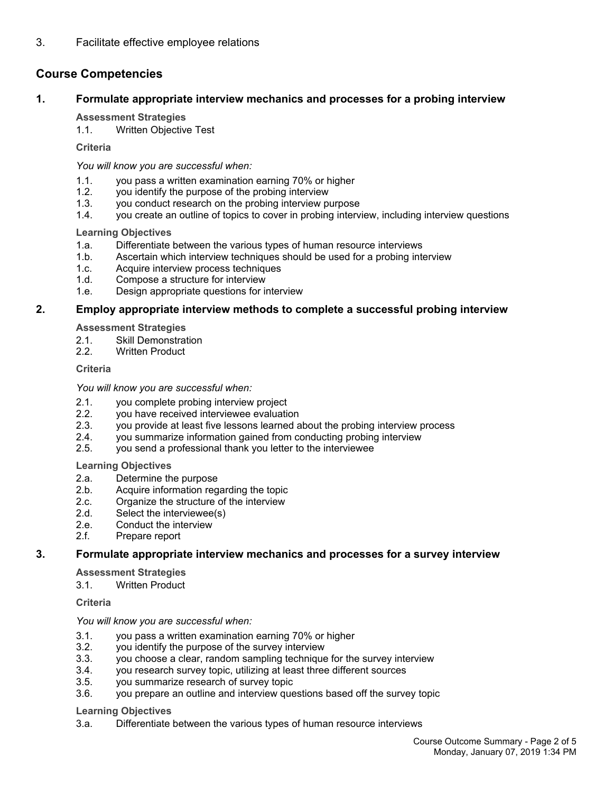## **Course Competencies**

## **1. Formulate appropriate interview mechanics and processes for a probing interview**

#### **Assessment Strategies**

1.1. Written Objective Test

#### **Criteria**

*You will know you are successful when:*

- 1.1. you pass a written examination earning 70% or higher
- 1.2. you identify the purpose of the probing interview
- 1.3. you conduct research on the probing interview purpose
- 1.4. you create an outline of topics to cover in probing interview, including interview questions

#### **Learning Objectives**

- 1.a. Differentiate between the various types of human resource interviews
- 1.b. Ascertain which interview techniques should be used for a probing interview
- 1.c. Acquire interview process techniques
- 1.d. Compose a structure for interview
- 1.e. Design appropriate questions for interview

## **2. Employ appropriate interview methods to complete a successful probing interview**

**Assessment Strategies**

- 2.1. Skill Demonstration
- 2.2. Written Product

#### **Criteria**

*You will know you are successful when:*

- 2.1. you complete probing interview project
- 2.2. you have received interviewee evaluation<br>2.3. vou provide at least five lessons learned a
- you provide at least five lessons learned about the probing interview process
- 2.4. you summarize information gained from conducting probing interview
- 2.5. you send a professional thank you letter to the interviewee

**Learning Objectives**

- 2.a. Determine the purpose
- 2.b. Acquire information regarding the topic
- 2.c. Organize the structure of the interview
- 2.d. Select the interviewee(s)
- 2.e. Conduct the interview
- 2.f. Prepare report

## **3. Formulate appropriate interview mechanics and processes for a survey interview**

**Assessment Strategies**

3.1. Written Product

## **Criteria**

#### *You will know you are successful when:*

- 3.1. you pass a written examination earning 70% or higher
- 3.2. you identify the purpose of the survey interview
- 3.3. you choose a clear, random sampling technique for the survey interview
- 3.4. you research survey topic, utilizing at least three different sources
- 3.5. you summarize research of survey topic
- 3.6. you prepare an outline and interview questions based off the survey topic

#### **Learning Objectives**

3.a. Differentiate between the various types of human resource interviews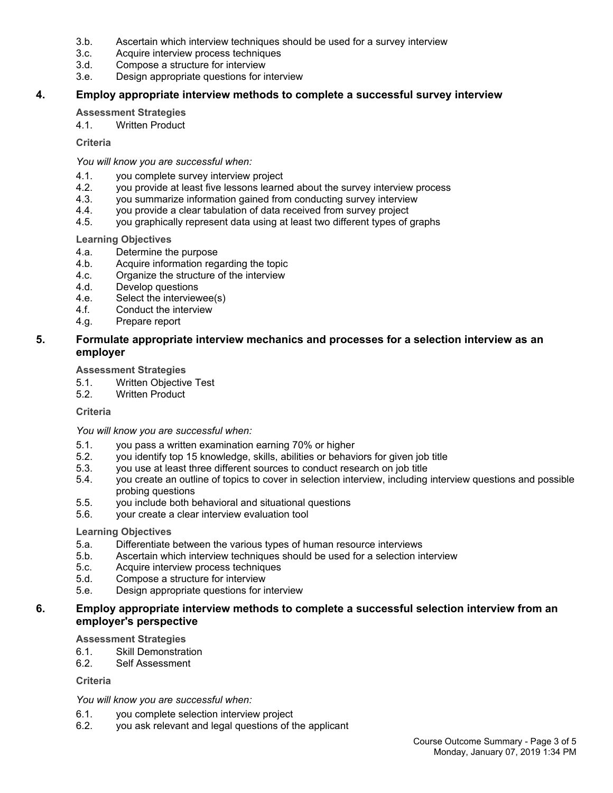- 3.b. Ascertain which interview techniques should be used for a survey interview
- 3.c. Acquire interview process techniques
- 3.d. Compose a structure for interview
- 3.e. Design appropriate questions for interview

## **4. Employ appropriate interview methods to complete a successful survey interview**

#### **Assessment Strategies**

4.1. Written Product

#### **Criteria**

#### *You will know you are successful when:*

- 4.1. you complete survey interview project
- 4.2. you provide at least five lessons learned about the survey interview process
- 4.3. you summarize information gained from conducting survey interview<br>4.4. vou provide a clear tabulation of data received from survey project
- you provide a clear tabulation of data received from survey project
- 4.5. you graphically represent data using at least two different types of graphs

#### **Learning Objectives**

- 4.a. Determine the purpose
- 4.b. Acquire information regarding the topic
- 4.c. Organize the structure of the interview
- 4.d. Develop questions
- 4.e. Select the interviewee(s)
- 4.f. Conduct the interview
- 4.g. Prepare report

## **5. Formulate appropriate interview mechanics and processes for a selection interview as an employer**

#### **Assessment Strategies**

- 5.1. Written Objective Test
- 5.2. Written Product

#### **Criteria**

#### *You will know you are successful when:*

- 5.1. you pass a written examination earning 70% or higher
- 5.2. you identify top 15 knowledge, skills, abilities or behaviors for given job title
- 5.3. you use at least three different sources to conduct research on job title
- 5.4. you create an outline of topics to cover in selection interview, including interview questions and possible probing questions
- 5.5. you include both behavioral and situational questions
- 5.6. your create a clear interview evaluation tool

#### **Learning Objectives**

- 5.a. Differentiate between the various types of human resource interviews
- 5.b. Ascertain which interview techniques should be used for a selection interview
- 5.c. Acquire interview process techniques
- 5.d. Compose a structure for interview
- 5.e. Design appropriate questions for interview

## **6. Employ appropriate interview methods to complete a successful selection interview from an employer's perspective**

#### **Assessment Strategies**

- 6.1. Skill Demonstration
- 6.2. Self Assessment

#### **Criteria**

## *You will know you are successful when:*

- 6.1. you complete selection interview project
- 6.2. you ask relevant and legal questions of the applicant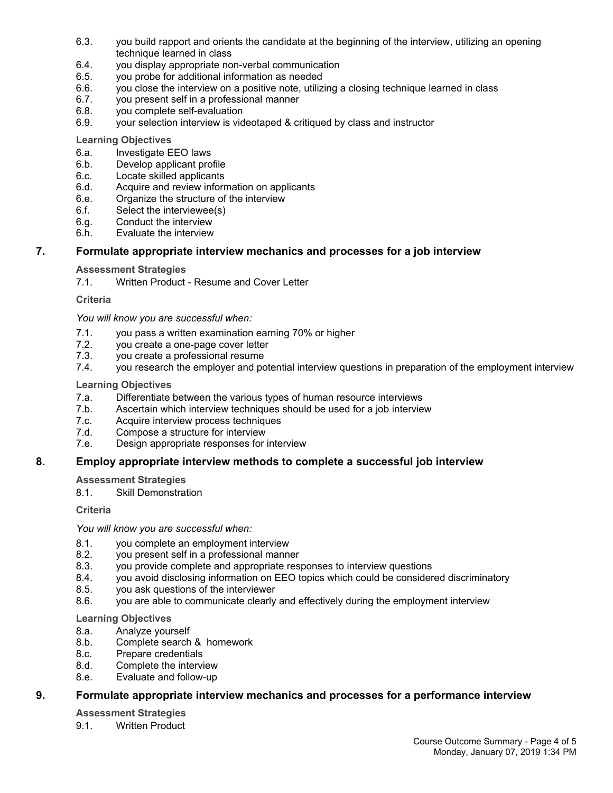- 6.3. you build rapport and orients the candidate at the beginning of the interview, utilizing an opening technique learned in class
- 6.4. you display appropriate non-verbal communication
- 6.5. you probe for additional information as needed
- 6.6. you close the interview on a positive note, utilizing a closing technique learned in class
- 6.7. you present self in a professional manner
- 6.8. you complete self-evaluation
- 6.9. your selection interview is videotaped & critiqued by class and instructor

## **Learning Objectives**

- 6.a. Investigate EEO laws
- 6.b. Develop applicant profile
- 6.c. Locate skilled applicants
- 6.d. Acquire and review information on applicants
- 6.e. Organize the structure of the interview
- 6.f. Select the interviewee(s)
- 6.g. Conduct the interview
- 6.h. Evaluate the interview

## **7. Formulate appropriate interview mechanics and processes for a job interview**

## **Assessment Strategies**

7.1. Written Product - Resume and Cover Letter

## **Criteria**

*You will know you are successful when:*

- 7.1. you pass a written examination earning 70% or higher
- 7.2. you create a one-page cover letter
- 7.3. you create a professional resume
- 7.4. you research the employer and potential interview questions in preparation of the employment interview

## **Learning Objectives**

- 7.a. Differentiate between the various types of human resource interviews
- 7.b. Ascertain which interview techniques should be used for a job interview
- 7.c. Acquire interview process techniques
- 7.d. Compose a structure for interview
- 7.e. Design appropriate responses for interview

## **8. Employ appropriate interview methods to complete a successful job interview**

## **Assessment Strategies**

8.1. Skill Demonstration

## **Criteria**

*You will know you are successful when:*

- 8.1. you complete an employment interview
- 8.2. you present self in a professional manner
- 8.3. you provide complete and appropriate responses to interview questions
- 8.4. you avoid disclosing information on EEO topics which could be considered discriminatory
- 8.5. you ask questions of the interviewer
- 8.6. you are able to communicate clearly and effectively during the employment interview

## **Learning Objectives**

- 8.a. Analyze yourself
- 8.b. Complete search & homework
- 8.c. Prepare credentials
- 8.d. Complete the interview
- 8.e. Evaluate and follow-up

## **9. Formulate appropriate interview mechanics and processes for a performance interview**

**Assessment Strategies**

9.1 Written Product